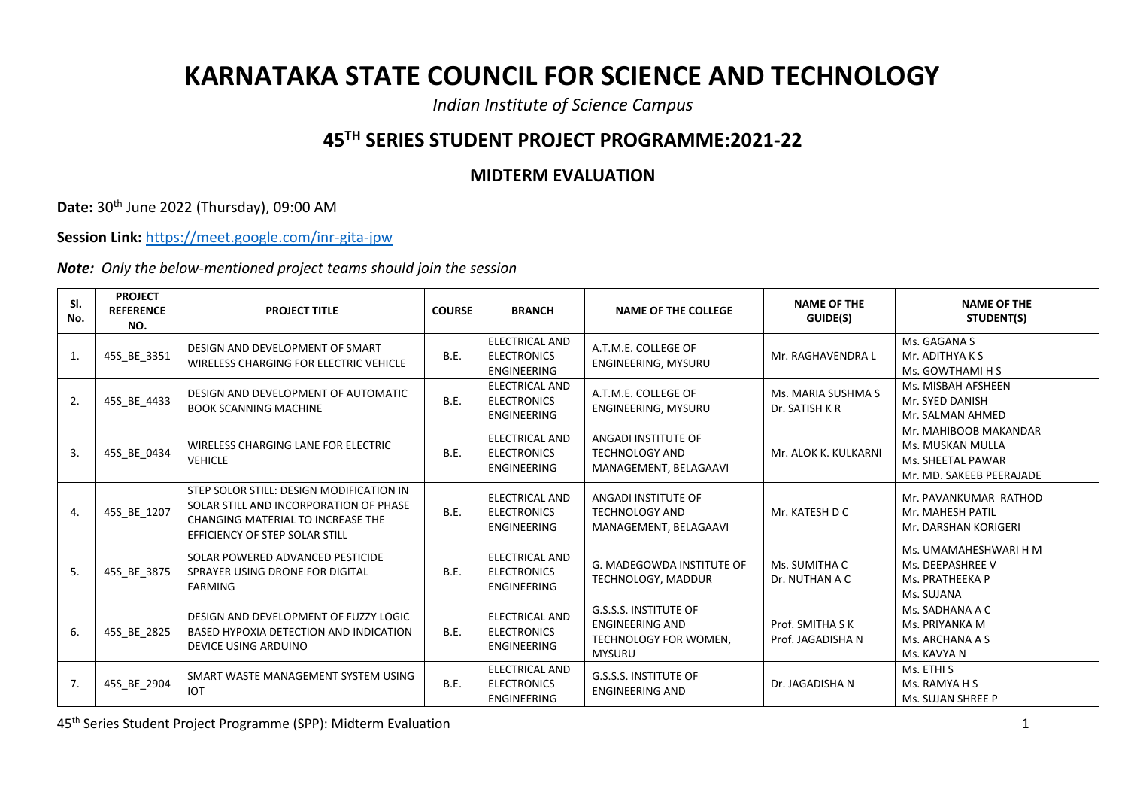## **KARNATAKA STATE COUNCIL FOR SCIENCE AND TECHNOLOGY**

*Indian Institute of Science Campus*

## **45TH SERIES STUDENT PROJECT PROGRAMME:2021-22**

## **MIDTERM EVALUATION**

**Date:** 30th June 2022 (Thursday), 09:00 AM

**Session Link:** <https://meet.google.com/inr-gita-jpw>

*Note: Only the below-mentioned project teams should join the session*

| SI.<br>No. | <b>PROJECT</b><br><b>REFERENCE</b><br>NO. | <b>PROJECT TITLE</b>                                                                                                                                      | <b>COURSE</b> | <b>BRANCH</b>                                                     | <b>NAME OF THE COLLEGE</b>                                                                       | <b>NAME OF THE</b><br><b>GUIDE(S)</b> | <b>NAME OF THE</b><br>STUDENT(S)                                                           |
|------------|-------------------------------------------|-----------------------------------------------------------------------------------------------------------------------------------------------------------|---------------|-------------------------------------------------------------------|--------------------------------------------------------------------------------------------------|---------------------------------------|--------------------------------------------------------------------------------------------|
| 1.         | 45S BE 3351                               | DESIGN AND DEVELOPMENT OF SMART<br>WIRELESS CHARGING FOR ELECTRIC VEHICLE                                                                                 | B.E.          | ELECTRICAL AND<br><b>ELECTRONICS</b><br><b>ENGINEERING</b>        | A.T.M.E. COLLEGE OF<br>ENGINEERING, MYSURU                                                       | Mr. RAGHAVENDRA L                     | Ms. GAGANA S<br>Mr. ADITHYA K S<br>Ms. GOWTHAMI H S                                        |
| 2.         | 45S BE 4433                               | DESIGN AND DEVELOPMENT OF AUTOMATIC<br><b>BOOK SCANNING MACHINE</b>                                                                                       | B.E.          | <b>ELECTRICAL AND</b><br><b>ELECTRONICS</b><br><b>ENGINEERING</b> | A.T.M.E. COLLEGE OF<br>ENGINEERING, MYSURU                                                       | Ms. MARIA SUSHMA S<br>Dr. SATISH K R  | Ms. MISBAH AFSHEEN<br>Mr. SYED DANISH<br>Mr. SALMAN AHMED                                  |
| 3.         | 45S_BE_0434                               | WIRELESS CHARGING LANE FOR ELECTRIC<br><b>VEHICLE</b>                                                                                                     | B.E.          | <b>ELECTRICAL AND</b><br><b>ELECTRONICS</b><br><b>ENGINEERING</b> | ANGADI INSTITUTE OF<br><b>TECHNOLOGY AND</b><br>MANAGEMENT, BELAGAAVI                            | Mr. ALOK K. KULKARNI                  | Mr. MAHIBOOB MAKANDAR<br>Ms. MUSKAN MULLA<br>Ms. SHEETAL PAWAR<br>Mr. MD. SAKEEB PEERAJADE |
| 4.         | 45S_BE_1207                               | STEP SOLOR STILL: DESIGN MODIFICATION IN<br>SOLAR STILL AND INCORPORATION OF PHASE<br>CHANGING MATERIAL TO INCREASE THE<br>EFFICIENCY OF STEP SOLAR STILL | B.E.          | <b>ELECTRICAL AND</b><br><b>ELECTRONICS</b><br><b>ENGINEERING</b> | ANGADI INSTITUTE OF<br><b>TECHNOLOGY AND</b><br>MANAGEMENT, BELAGAAVI                            | Mr. KATESH D C                        | Mr. PAVANKUMAR RATHOD<br>Mr. MAHESH PATIL<br>Mr. DARSHAN KORIGERI                          |
| 5.         | 45S BE 3875                               | SOLAR POWERED ADVANCED PESTICIDE<br>SPRAYER USING DRONE FOR DIGITAL<br><b>FARMING</b>                                                                     | B.E.          | <b>ELECTRICAL AND</b><br><b>ELECTRONICS</b><br><b>ENGINEERING</b> | <b>G. MADEGOWDA INSTITUTE OF</b><br>TECHNOLOGY, MADDUR                                           | Ms. SUMITHA C<br>Dr. NUTHAN A C       | Ms. UMAMAHESHWARI H M<br>Ms. DEEPASHREE V<br>Ms. PRATHEEKA P<br>Ms. SUJANA                 |
| 6.         | 45S BE 2825                               | DESIGN AND DEVELOPMENT OF FUZZY LOGIC<br>BASED HYPOXIA DETECTION AND INDICATION<br>DEVICE USING ARDUINO                                                   | B.E.          | <b>ELECTRICAL AND</b><br><b>ELECTRONICS</b><br>ENGINEERING        | <b>G.S.S.S. INSTITUTE OF</b><br><b>ENGINEERING AND</b><br>TECHNOLOGY FOR WOMEN,<br><b>MYSURU</b> | Prof. SMITHA S K<br>Prof. JAGADISHA N | Ms. SADHANA A C<br>Ms. PRIYANKA M<br>Ms. ARCHANA A S<br>Ms. KAVYA N                        |
| 7.         | 45S_BE_2904                               | SMART WASTE MANAGEMENT SYSTEM USING<br><b>IOT</b>                                                                                                         | B.E.          | <b>ELECTRICAL AND</b><br><b>ELECTRONICS</b><br><b>ENGINEERING</b> | <b>G.S.S.S. INSTITUTE OF</b><br><b>ENGINEERING AND</b>                                           | Dr. JAGADISHA N                       | Ms. ETHI S<br>Ms. RAMYA H S<br>Ms. SUJAN SHREE P                                           |

45th Series Student Project Programme (SPP): Midterm Evaluation 1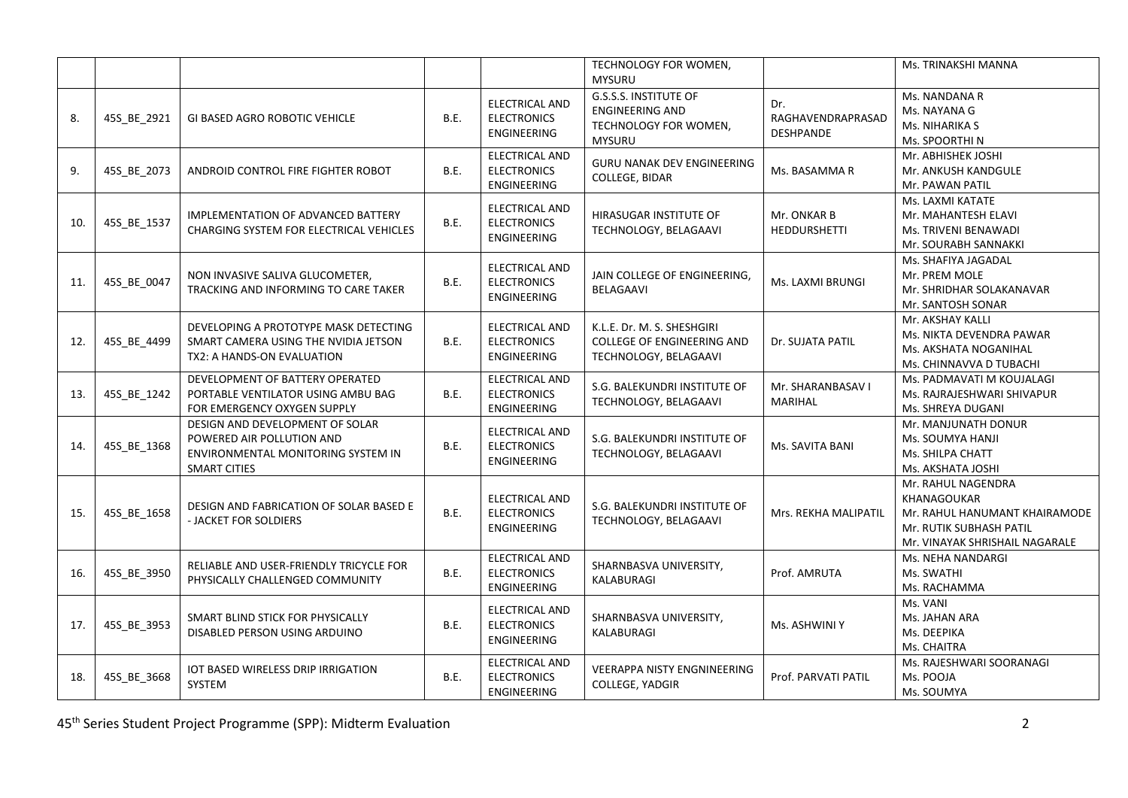|     |             |                                                                                                                           |      |                                                                   | TECHNOLOGY FOR WOMEN,<br><b>MYSURU</b>                                                           |                                              | Ms. TRINAKSHI MANNA                                                                                                             |
|-----|-------------|---------------------------------------------------------------------------------------------------------------------------|------|-------------------------------------------------------------------|--------------------------------------------------------------------------------------------------|----------------------------------------------|---------------------------------------------------------------------------------------------------------------------------------|
| 8.  | 45S_BE_2921 | <b>GI BASED AGRO ROBOTIC VEHICLE</b>                                                                                      | B.E. | <b>ELECTRICAL AND</b><br><b>ELECTRONICS</b><br><b>ENGINEERING</b> | <b>G.S.S.S. INSTITUTE OF</b><br><b>ENGINEERING AND</b><br>TECHNOLOGY FOR WOMEN,<br><b>MYSURU</b> | Dr.<br>RAGHAVENDRAPRASAD<br><b>DESHPANDE</b> | Ms. NANDANA R<br>Ms. NAYANA G<br>Ms. NIHARIKA S<br>Ms. SPOORTHI N                                                               |
| 9.  | 45S_BE_2073 | ANDROID CONTROL FIRE FIGHTER ROBOT                                                                                        | B.E. | <b>ELECTRICAL AND</b><br><b>ELECTRONICS</b><br><b>ENGINEERING</b> | <b>GURU NANAK DEV ENGINEERING</b><br>COLLEGE, BIDAR                                              | Ms. BASAMMA R                                | Mr. ABHISHEK JOSHI<br>Mr. ANKUSH KANDGULE<br>Mr. PAWAN PATIL                                                                    |
| 10. | 45S_BE_1537 | <b>IMPLEMENTATION OF ADVANCED BATTERY</b><br>CHARGING SYSTEM FOR ELECTRICAL VEHICLES                                      | B.E. | <b>ELECTRICAL AND</b><br><b>ELECTRONICS</b><br>ENGINEERING        | HIRASUGAR INSTITUTE OF<br>TECHNOLOGY, BELAGAAVI                                                  | Mr. ONKAR B<br><b>HEDDURSHETTI</b>           | Ms. LAXMI KATATE<br>Mr. MAHANTESH ELAVI<br>Ms. TRIVENI BENAWADI<br>Mr. SOURABH SANNAKKI                                         |
| 11. | 45S_BE_0047 | NON INVASIVE SALIVA GLUCOMETER,<br>TRACKING AND INFORMING TO CARE TAKER                                                   | B.E. | <b>ELECTRICAL AND</b><br><b>ELECTRONICS</b><br><b>ENGINEERING</b> | JAIN COLLEGE OF ENGINEERING,<br>BELAGAAVI                                                        | Ms. LAXMI BRUNGI                             | Ms. SHAFIYA JAGADAL<br>Mr. PREM MOLE<br>Mr. SHRIDHAR SOLAKANAVAR<br>Mr. SANTOSH SONAR                                           |
| 12. | 45S_BE_4499 | DEVELOPING A PROTOTYPE MASK DETECTING<br>SMART CAMERA USING THE NVIDIA JETSON<br>TX2: A HANDS-ON EVALUATION               | B.E. | <b>ELECTRICAL AND</b><br><b>ELECTRONICS</b><br><b>ENGINEERING</b> | K.L.E. Dr. M. S. SHESHGIRI<br><b>COLLEGE OF ENGINEERING AND</b><br>TECHNOLOGY, BELAGAAVI         | Dr. SUJATA PATIL                             | Mr. AKSHAY KALLI<br>Ms. NIKTA DEVENDRA PAWAR<br>Ms. AKSHATA NOGANIHAL<br>Ms. CHINNAVVA D TUBACHI                                |
| 13. | 45S_BE_1242 | DEVELOPMENT OF BATTERY OPERATED<br>PORTABLE VENTILATOR USING AMBU BAG<br>FOR EMERGENCY OXYGEN SUPPLY                      | B.E. | <b>ELECTRICAL AND</b><br><b>ELECTRONICS</b><br>ENGINEERING        | S.G. BALEKUNDRI INSTITUTE OF<br>TECHNOLOGY, BELAGAAVI                                            | Mr. SHARANBASAV I<br>MARIHAL                 | Ms. PADMAVATI M KOUJALAGI<br>Ms. RAJRAJESHWARI SHIVAPUR<br>Ms. SHREYA DUGANI                                                    |
| 14. | 45S_BE_1368 | DESIGN AND DEVELOPMENT OF SOLAR<br>POWERED AIR POLLUTION AND<br>ENVIRONMENTAL MONITORING SYSTEM IN<br><b>SMART CITIES</b> | B.E. | ELECTRICAL AND<br><b>ELECTRONICS</b><br><b>ENGINEERING</b>        | S.G. BALEKUNDRI INSTITUTE OF<br>TECHNOLOGY, BELAGAAVI                                            | Ms. SAVITA BANI                              | Mr. MANJUNATH DONUR<br>Ms. SOUMYA HANJI<br>Ms. SHILPA CHATT<br>Ms. AKSHATA JOSHI                                                |
| 15. | 45S_BE_1658 | DESIGN AND FABRICATION OF SOLAR BASED E<br>- JACKET FOR SOLDIERS                                                          | B.E. | ELECTRICAL AND<br><b>ELECTRONICS</b><br><b>ENGINEERING</b>        | S.G. BALEKUNDRI INSTITUTE OF<br>TECHNOLOGY, BELAGAAVI                                            | Mrs. REKHA MALIPATIL                         | Mr. RAHUL NAGENDRA<br>KHANAGOUKAR<br>Mr. RAHUL HANUMANT KHAIRAMODE<br>Mr. RUTIK SUBHASH PATIL<br>Mr. VINAYAK SHRISHAIL NAGARALE |
| 16. | 45S_BE_3950 | RELIABLE AND USER-FRIENDLY TRICYCLE FOR<br>PHYSICALLY CHALLENGED COMMUNITY                                                | B.E. | <b>ELECTRICAL AND</b><br><b>ELECTRONICS</b><br>ENGINEERING        | SHARNBASVA UNIVERSITY,<br>KALABURAGI                                                             | Prof. AMRUTA                                 | Ms. NEHA NANDARGI<br>Ms. SWATHI<br>Ms. RACHAMMA                                                                                 |
| 17. | 45S_BE_3953 | SMART BLIND STICK FOR PHYSICALLY<br>DISABLED PERSON USING ARDUINO                                                         | B.E. | ELECTRICAL AND<br><b>ELECTRONICS</b><br>ENGINEERING               | SHARNBASVA UNIVERSITY,<br>KALABURAGI                                                             | Ms. ASHWINI Y                                | Ms. VANI<br>Ms. JAHAN ARA<br>Ms. DEEPIKA<br>Ms. CHAITRA                                                                         |
| 18. | 45S_BE_3668 | IOT BASED WIRELESS DRIP IRRIGATION<br>SYSTEM                                                                              | B.E. | <b>ELECTRICAL AND</b><br><b>ELECTRONICS</b><br><b>ENGINEERING</b> | <b>VEERAPPA NISTY ENGNINEERING</b><br>COLLEGE, YADGIR                                            | Prof. PARVATI PATIL                          | Ms. RAJESHWARI SOORANAGI<br>Ms. POOJA<br>Ms. SOUMYA                                                                             |